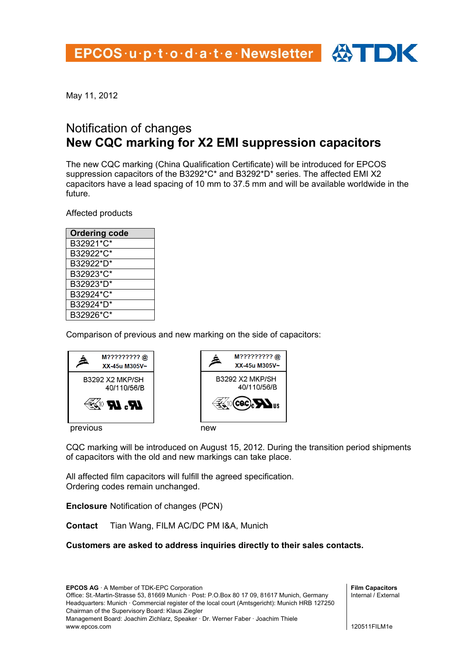

## Notification of changes **New CQC marking for X2 EMI suppression capacitors**

The new CQC marking (China Qualification Certificate) will be introduced for EPCOS suppression capacitors of the B3292\*C\* and B3292\*D\* series. The affected EMI X2 capacitors have a lead spacing of 10 mm to 37.5 mm and will be available worldwide in the future.

Affected products

| <b>Ordering code</b> |
|----------------------|
| B32921*C*            |
| B32922*C*            |
| B32922*D*            |
| B32923*C*            |
| B32923*D*            |
| B32924*C*            |
| B32924*D*            |
| B32926*C*            |

Comparison of previous and new marking on the side of capacitors:





CQC marking will be introduced on August 15, 2012. During the transition period shipments of capacitors with the old and new markings can take place.

All affected film capacitors will fulfill the agreed specification. Ordering codes remain unchanged.

**Enclosure** Notification of changes (PCN)

**Contact** Tian Wang, FILM AC/DC PM I&A, Munich

## **Customers are asked to address inquiries directly to their sales contacts.**

**EPCOS AG** · A Member of TDK-EPC Corporation Office: St.-Martin-Strasse 53, 81669 Munich · Post: P.O.Box 80 17 09, 81617 Munich, Germany Headquarters: Munich · Commercial register of the local court (Amtsgericht): Munich HRB 127250 Chairman of the Supervisory Board: Klaus Ziegler Management Board: Joachim Zichlarz, Speaker · Dr. Werner Faber · Joachim Thiele www.epcos.com

**Film Capacitors**  Internal / External